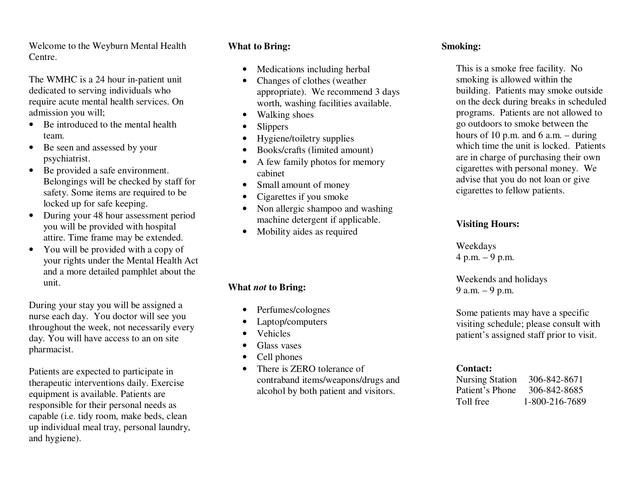Welcome to the Weyburn Mental Health Centre.

The WMHC is a 24 hour in-patient unit dedicated to serving individuals who require acute mental health services. On admission you will;

- Be introduced to the mental health team.
- Be seen and assessed by your psychiatrist.
- Be provided a safe environment. Belongings will be checked by staff for safety. Some items are required to be locked up for safe keeping.
- During your 48 hour assessment period you will be provided with hospital attire. Time frame may be extended.
- You will be provided with a copy of your rights under the Mental Health Act and a more detailed pamphlet about the unit.

During your stay you will be assigned a nurse each day. You doctor will see you throughout the week, not necessarily every day. You will have access to an on site pharmacist.

Patients are expected to participate in therapeutic interventions daily. Exercise equipment is available. Patients are responsible for their personal needs as capable (i.e. tidy room, make beds, clean up individual meal tray, personal laundry, and hygiene).

#### **What to Bring:**

- •Medications including herbal
- • Changes of clothes (weather appropriate). We recommend 3 days worth, washing facilities available.
- •Walking shoes
- •**Slippers**
- •Hygiene/toiletry supplies
- •Books/crafts (limited amount)
- • A few family photos for memory cabinet
- •Small amount of money
- •Cigarettes if you smoke
- • Non allergic shampoo and washing machine detergent if applicable.
- •Mobility aides as required

# **What** *not* **to Bring:**

- •Perfumes/colognes
- •Laptop/computers
- •Vehicles
- •Glass vases
- •Cell phones
- • There is ZERO tolerance of contraband items/weapons/drugs and alcohol by both patient and visitors.

### **Smoking:**

This is a smoke free facility. No smoking is allowed within the building. Patients may smoke outside on the deck during breaks in scheduled programs. Patients are not allowed to go outdoors to smoke between the hours of 10 p.m. and 6 a.m.  $-$  during which time the unit is locked. Patients are in charge of purchasing their own cigarettes with personal money. We advise that you do not loan or give cigarettes to fellow patients.

## **Visiting Hours:**

Weekdays 4 p.m. – 9 p.m.

Weekends and holidays 9 a.m. – 9 p.m.

Some patients may have a specific visiting schedule; please consult with patient's assigned staff prior to visit.

#### **Contact:**

Nursing Station 306-842-8671 Patient's Phone 306-842-8685 Toll free 1-800-216-7689